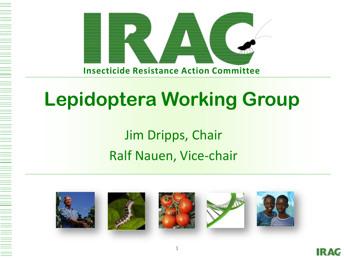

#### Jim Dripps, Chair Ralf Nauen, Vice-chair











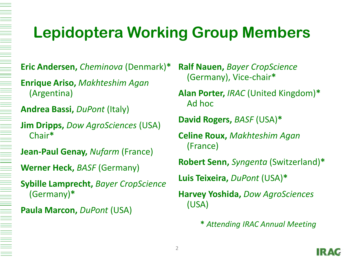#### **Lepidoptera Working Group Members**

**Eric Andersen,** *Cheminova* (Denmark)**\***

**Enrique Ariso,** *Makhteshim Agan* (Argentina)

**Andrea Bassi,** *DuPont* (Italy)

**Jim Dripps,** *Dow AgroSciences* (USA) Chair**\***

**Jean-Paul Genay,** *Nufarm* (France)

**Werner Heck,** *BASF* (Germany)

**Sybille Lamprecht,** *Bayer CropScience* (Germany)**\***

#### **Paula Marcon,** *DuPont* (USA)

**Ralf Nauen,** *Bayer CropScience* (Germany), Vice-chair**\***

**Alan Porter,** *IRAC* (United Kingdom)**\*** Ad hoc

**David Rogers,** *BASF* (USA)**\***

**Celine Roux,** *Makhteshim Agan* (France)

**Robert Senn,** *Syngenta* (Switzerland)**\***

**Luis Teixeira,** *DuPont* (USA)**\***

**Harvey Yoshida,** *Dow AgroSciences*  (USA)

**\*** *Attending IRAC Annual Meeting*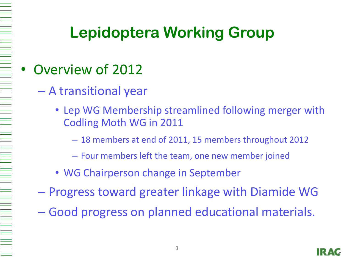#### • Overview of 2012

- A transitional year
	- Lep WG Membership streamlined following merger with Codling Moth WG in 2011
		- 18 members at end of 2011, 15 members throughout 2012
		- Four members left the team, one new member joined
	- WG Chairperson change in September
- Progress toward greater linkage with Diamide WG
- Good progress on planned educational materials.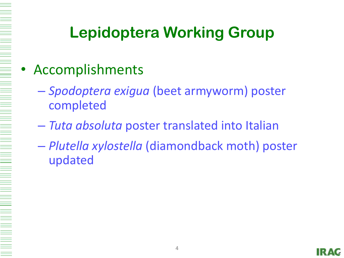#### **Accomplishments**

- *Spodoptera exigua* (beet armyworm) poster completed
- *Tuta absoluta* poster translated into Italian
- *Plutella xylostella* (diamondback moth) poster updated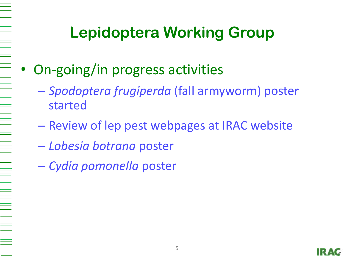- On-going/in progress activities
	- *Spodoptera frugiperda* (fall armyworm) poster started
	- Review of lep pest webpages at IRAC website
	- *Lobesia botrana* poster
	- *Cydia pomonella* poster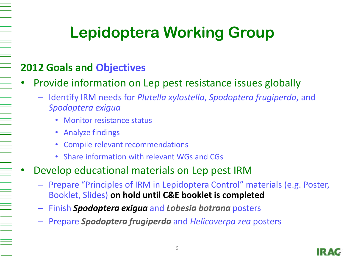#### **2012 Goals and Objectives**

- Provide information on Lep pest resistance issues globally
	- Identify IRM needs for *Plutella xylostella*, *Spodoptera frugiperda*, and *Spodoptera exigua*
		- Monitor resistance status
		- Analyze findings
		- Compile relevant recommendations
		- Share information with relevant WGs and CGs
- Develop educational materials on Lep pest IRM
	- Prepare "Principles of IRM in Lepidoptera Control" materials (e.g. Poster, Booklet, Slides) **on hold until C&E booklet is completed**
	- Finish *Spodoptera exigua* and *Lobesia botrana* posters
	- Prepare *Spodoptera frugiperda* and *Helicoverpa zea* posters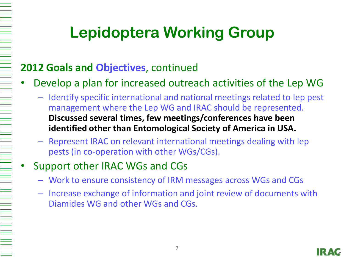#### **2012 Goals and Objectives**, continued

- Develop a plan for increased outreach activities of the Lep WG
	- Identify specific international and national meetings related to lep pest management where the Lep WG and IRAC should be represented. **Discussed several times, few meetings/conferences have been identified other than Entomological Society of America in USA.**
	- Represent IRAC on relevant international meetings dealing with lep pests (in co-operation with other WGs/CGs).
	- Support other IRAC WGs and CGs
		- Work to ensure consistency of IRM messages across WGs and CGs
		- Increase exchange of information and joint review of documents with Diamides WG and other WGs and CGs.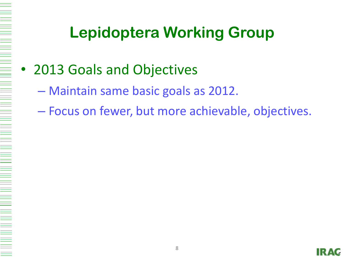- 2013 Goals and Objectives
	- Maintain same basic goals as 2012.
	- Focus on fewer, but more achievable, objectives.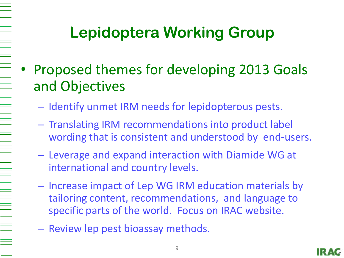- Proposed themes for developing 2013 Goals and Objectives
	- Identify unmet IRM needs for lepidopterous pests.
	- Translating IRM recommendations into product label wording that is consistent and understood by end-users.
	- Leverage and expand interaction with Diamide WG at international and country levels.
	- Increase impact of Lep WG IRM education materials by tailoring content, recommendations, and language to specific parts of the world. Focus on IRAC website.
	- Review lep pest bioassay methods.